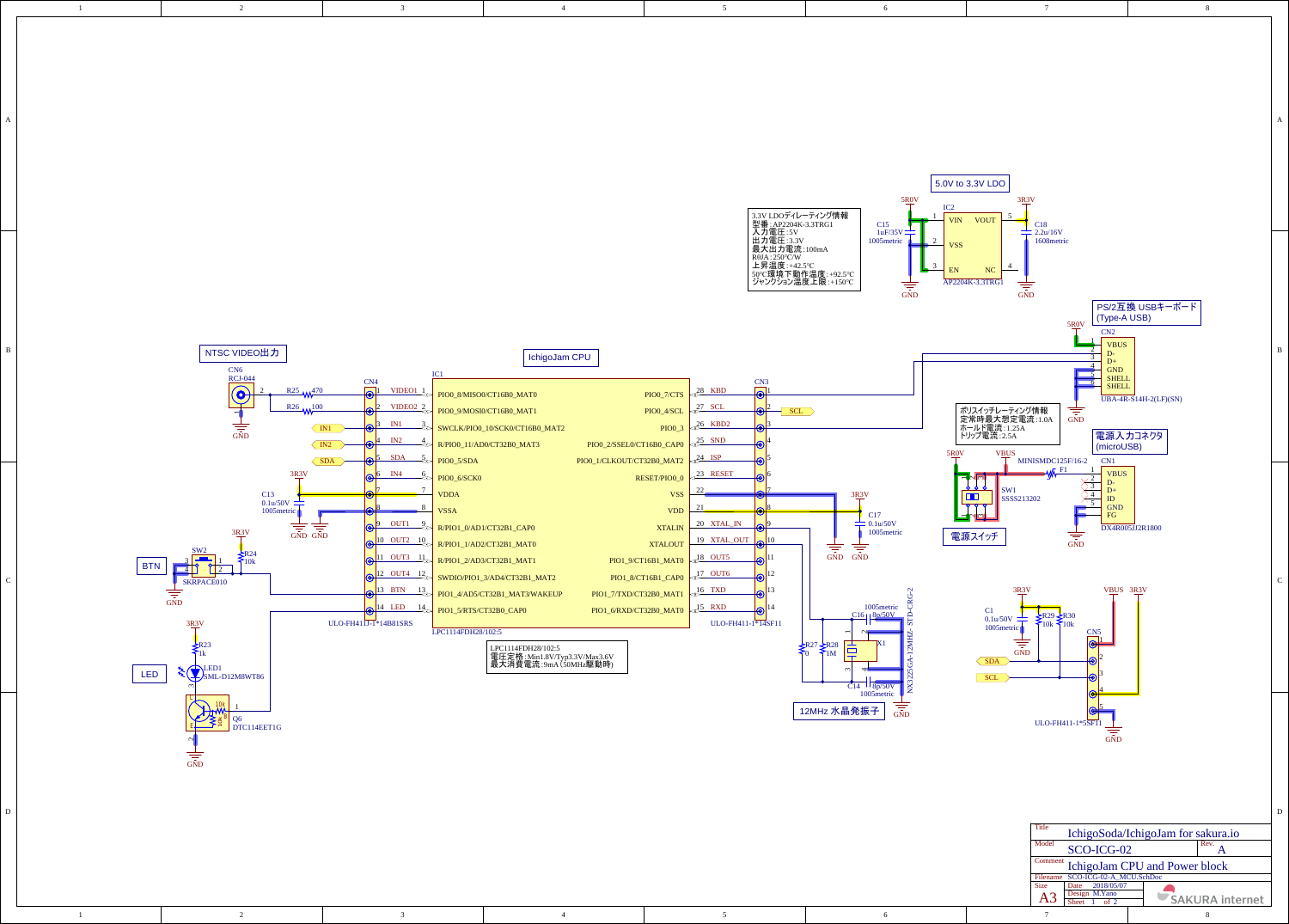